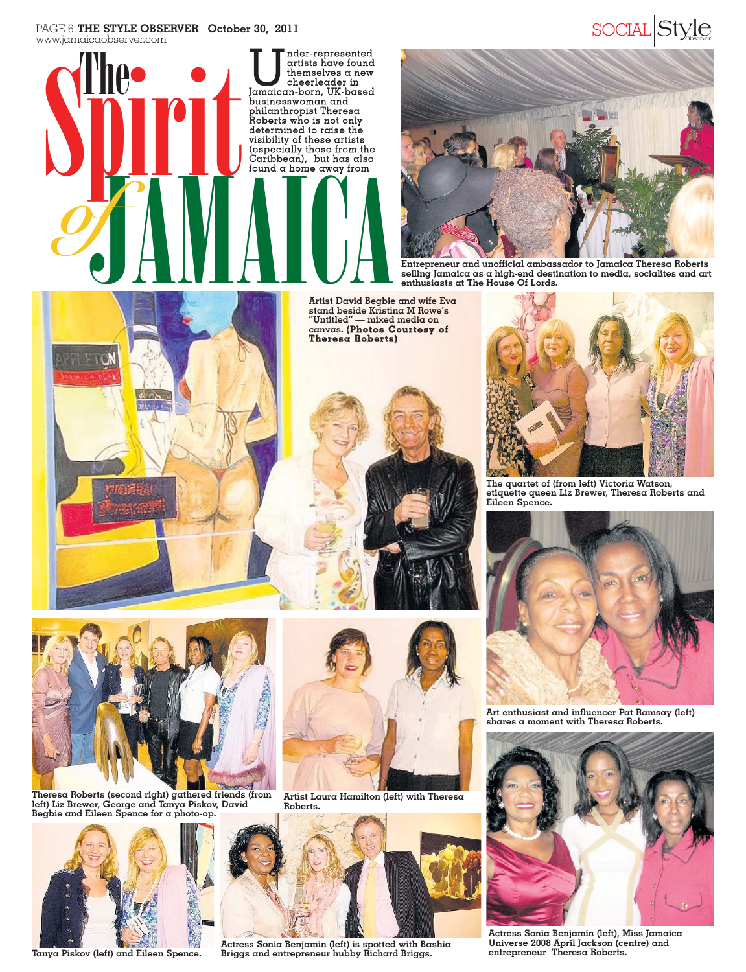#### PAGE 6 THE STYLE OBSERVER October 30, 2011 www.jamaicaobserver.com PAGE 6 **THE STYLE OBSERVER October 30, 2011** SOCIAL Style





**Entrepreneur and unofficial ambassador to Jamaica Theresa Roberts selling Jamaica as a high-end destination to media, socialites and art enthusiasts at The House Of Lords.**



**Artist David Begbie and wife Eva stand beside Kristina M Rowe's "Untitled" — mixed media on canvas. (Photos Courtesy of Theresa Roberts)**





**The quartet of (from left) Victoria Watson, etiquette queen Liz Brewer, Theresa Roberts and Eileen Spence.**



**Art enthusiast and influencer Pat Ramsay (left) shares a moment with Theresa Roberts.**



**Actress Sonia Benjamin (left), Miss Jamaica Universe 2008 April Jackson (centre) and entrepreneur Theresa Roberts.**



**Theresa Roberts (second right) gathered friends (from left) Liz Brewer, George and Tanya Piskov, David Begbie and Eileen Spence for a photo-op.**



**Tanya Piskov (left) and Eileen Spence.**



**Artist Laura Hamilton (left) with Theresa Roberts.**



**Actress Sonia Benjamin (left) is spotted with Bashia Briggs and entrepreneur hubby Richard Briggs.**